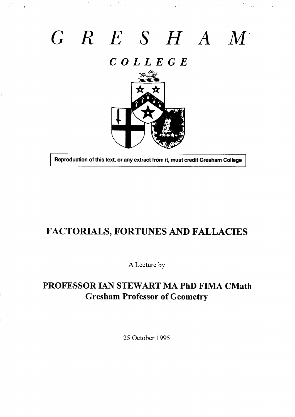# GRESHAM

and the second company of the second control of the second company

 $C$  O L L E G E



Reproduction of this text, or any extract from it, must credit Gresham College

## FACTORIALS, FORTUNES AND FALLACIES

A Lecture by

## PROFESSOR IAN STEWART MA PhD FIMA CMath **Gresham Professor of Geometry**

25 October 1995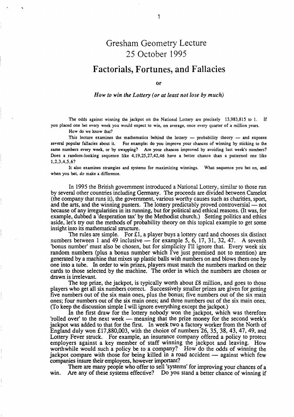## Gresham Geometry Lecture 25 October 1995

### Factorials, Fortunes, and Fallacies

**or**

#### *How to win the Lottery (or at least not lose by much)*

The odds against winning the jackpot on the National Lottery are precisely 13,983,815 to 1. If you placed one bet every week you would expect to win, on average, once every quarter of a milfion years.

How do we know that?

This lecture examines the mathematics behind the lottery  $-$  probability theory  $-$  and exposes several popular fallacies about it. For example: do you improve your chances of winning by sticking to the same numbers every week, or by swapping? Are your chances improved by avoiding last week's numbers? Does a random-looking sequence like 4,19,25,27,42,46 have a better chance than a patterned one like 1,2,3,4,5,6?

It also examines strategies and systems for maximizing winnings. What sequence you bet on, and when you bet, do make a difference.

In 1995 the British government introduced a National Lottery, similar to those run by several other countries including Germany. The proceeds are divided between Camelot (the company that runs it), the government, various worthy causes such as charities, sport, and the arts, and the winning punters. The lottery predictably proved controversial — not because of any irregularities in its running, but for political and ethical reasons. (It was, for example, dubbed a 'desperation tax' by the Methodist church.) Setting politics and ethics aside, let's try out the methods of probability theory on this topical example to get some insight into its mathematical structure.

The rules are simple. For  $\pounds$ 1, a player buys a lottery card and chooses six distinct numbers between 1 and 49 inclusive — for example 5, 6, 17, 31, 32, 47. A seventh 'bonus number' must also be chosen, but for simplicity I'll ignore that. Every week six random numbers (plus a bonus number which I've just promised not to mention) are generated by a machine that mixes up plastic balls with numbers on and blows them one by one into a tube. In order to win prizes, players must match the numbers marked on their cards to those selected by the machine. The order in which the numbers are chosen or drawn is irrelevant.

The top prize, the jackpot, is typically worth about £8 million, and goes to those players who get all six numbers correct. Successively smaller prizes are given for getting five numbers out of the six main ones, plus the bonus; five numbers out of the six main ones; four numbers out of the six main ones; and three numbers out of the six main ones. (To keep the discussion simple I will ignore everything except the jackpot.)

In the first draw for the lottery nobody won the jackpot, which was therefore 'rolled over' to the next week — meaning that the prize money for the second week's jackpot was added to that for the first. In week two a factory worker from the North of England duly won £17,880,003, with the choice of numbers 26, 35, 38, 43, 47, 49, and Lottery Fever struck. For example, an insurance company offered a policy to protect employers against a key member of staff winning the jackpot and leaving. How worthwhile would such a policy be to a company? How do the odds of winning the jackpot compare with those for being killed in a road accident — against which few companies insure their employees, however important?

There are many people who offer to sell 'systems' for improving your chances of a win. Are any of these systems effective? Do you stand a better chance of winning if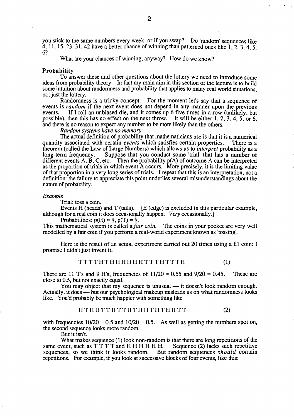you stick to the same numbers every week, or if you swap? Do 'random' sequences like  $4, 11, 15, 23, 31, 42$  have a better chance of winning than patterned ones like  $1, 2, 3, 4, 5$ , 6?

What are your chances of winning, anyway? How do we know?

#### **Probability**

**TO** answer these and other questions about the lottery we need to introduce some ideas from probability theory. In fact my main aim in this section of the lecture is to build some intuition about randomness and probability that applies to many real world situations, not just the lottery.

Randomness is a tricky concept. For the moment let's say that a sequence of events is random if the next event does not depend in any manner upon the previous events. If I roll an unbiased die, and it comes up 6 five times in a row (unlikely, but possible), then this has no effect on the next throw. It will be either 1, 2, 3,4, 5, or 6, and there is no reason to expect any number to be more likely than the others.

*Random systems have no memory.* 

*The* actual definition of probability that mathematicians use is that it is a numerical quantity associated with certain events which satisfies certain properties. There is a theorem (called the Law of Large Numbers) which allows us to *interpret* probability as a long-term frequency. Suppose that you conduct some 'trial' that has a number of different events A,  $\dot{B}$ , C, etc. Then the probability  $p(A)$  of outcome A can be interpreted as the proportion of trials in which event  $A$  occurs. More precisely, it is the limiting value of that proportion in a very long series of trials. I repeat that this is an interpretation, not a definition: the fatiure to appreciate this point underlies several misunderstandings about the nature of probabihty.

#### *Example*

Trial: toss a coin.

Events H (heads) and T (tails). [E (edge) is excluded in this particular example, although for a real coin it does occasionally happen. *Very* occasionally.]

Probabilities:  $p(H) = \frac{1}{2}$ ,  $p(T) = \frac{1}{2}$ . This mathematical system is called a *fair coin.* The coins in your pocket are very well modelled by a fair coin if you perform a real-world experiment known as 'tossing'.

Here is the result of an actual experiment carried out 20 times using a £1 coin: I promise I didn't just invent it.

#### TTTTHTHHHH HHTTTHTTTH (1)

There are 11 T's and 9 H's, frequencies of  $11/20 = 0.55$  and  $9/20 = 0.45$ . These are close to 0.5, but not exacdy equal.

You may object that my sequence is unusual — it doesn't look random enough. Actually, it does — but our psychological makeup misleads us on what randomness looks like. You'd probably be much happier with something like

#### HTHHTTHTTHT HHTHTHHTT (2)

with frequencies  $10/20 = 0.5$  and  $10/20 = 0.5$ . As well as getting the numbers spot on, the second sequence looks more random.

But it isn't.

What makes sequence (1) look non-random is that there are long repetitions of the vent, such as  $T T T T$  and  $H H H H H$ . Sequence (2) lacks such repetitive same event, such as  $T T T T T$  and  $H H H H H$ . Sequence (2) lacks such repetitive sequences, so we think it looks random. But random sequences *should* contain sequences, so we think it looks random. repetitions. For example, if you look at successive blocks of four events, like this:

 $\mathbf{r}$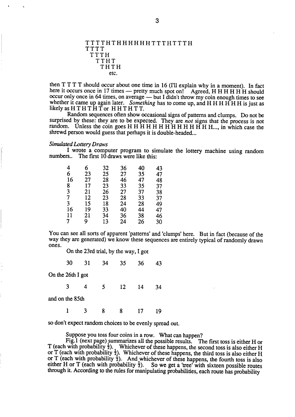#### TTTTHTHHHHHHTTTHTTTH TTTT TTTH TTHT THTH etc.

then  $T T T T$  should occur about one time in 16 (I'll explain why in a moment). In fact here it occurs once in 17 times — pretty much spot on! Agreed, H H H H H H should occur only once in 64 times, on average — but I didn't throw my coin enough times to see whether it came up again later. *Something* has to come up, and H H H H H H is just as likely as  $\hbox{HTHTHT}$  or  $\hbox{HTHT}$   $\hbox{THT}$ 

Random sequences often show occasional signs of patterns and clumps. Do not be surprised by these: they are to be expected. They are *not* signs that the process is not random. Unless the coin goes  $H H H H H H H H H H H H$ ..., in which case the shrewd person would guess that perhaps it is double-headed...

#### *Simulated Lottery Draws*

,

I wrote a computer program to simulate the lottery machine using random numbers.. The first  $10$  draws were like this:

| 4                       | 6  | 32 | 36 | 40 | 43 |
|-------------------------|----|----|----|----|----|
| 6                       | 23 | 25 | 27 | 35 | 47 |
| 16                      | 27 | 28 | 46 | 47 | 48 |
| 8                       | 17 | 23 | 33 | 35 | 37 |
| $\overline{\mathbf{3}}$ | 21 | 26 | 27 | 37 | 38 |
| $\overline{7}$          | 12 | 23 | 28 | 33 | 37 |
| $\overline{\mathbf{3}}$ | 15 | 18 | 24 | 28 | 49 |
| 16                      | 19 | 33 | 40 | 44 | 47 |
| 11                      | 21 | 34 | 36 | 38 | 46 |
| 7 <sup>1</sup>          | 9. | 13 | 24 | 26 | 30 |

You can see all sorts of apparent 'patterns' and 'clumps' here. But in fact (because of the way they are generated) we know these sequences are entirely typical of randomly drawn ones.

On the 23rd trial, by the way, I got

30 31 34 35 36 43

On the 26th I got

3 4 5 12 14 34

and on the 85th

1 3 8 8 17 lg

so don't expect random choices to be evenly spread out.

Suppose you toss four coins in a row. What can happen?

Fig.1 (next page) summarizes all the possible results. The first toss is either H or T (each with probability  $\dot{\tau}$ ). Whichever of these happens, the second toss is also either H or T (each with probability  $\dot{\tau}$ ). Whichever of these happens, the third toss is also either H or T (each with probability  $\frac{1}{2}$ ). And whichever of these happens, the fourth toss is also either H or T (each with probability  $\frac{1}{2}$ ). So we get a 'tree' with sixteen possible routes So we get a 'tree' with sixteen possible routes through it. According to the rules for manipulating probabilities, each route has probability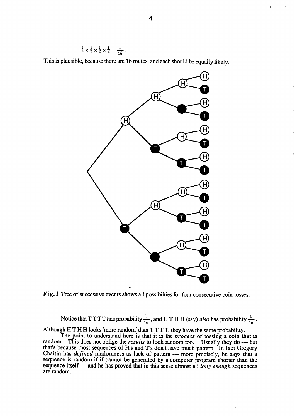$$
\frac{1}{2} \times \frac{1}{2} \times \frac{1}{2} \times \frac{1}{2} = \frac{1}{16}.
$$

This is plausible, because there are 16 routes, and each should be equally likely.



Fig. 1 Tree of successive events shows all possibilities for four consecutive coin tosses.

Notice that T T T T has probability  $\frac{1}{16}$ , and H T H H (say) also has probability  $\frac{1}{16}$ .

Although H T H H looks 'more random' than T T T T, they have the same probability.

The point to understand here is that it is the *process* of tossing a coin that is random. This does not oblige the *results* to look random too. Usually they do — but that's because most sequences of H's and T's don't have much pattern. In fact Gregory Chaitin has *defined* randomness as lack of pattern — more precisely, he says that a sequence is random if if cannot be generated by a computer program shorter than the sequence itself — and he has proved that in this sense almost dl *long enough* sequences are random.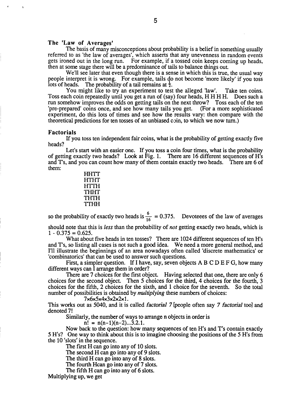#### The 'Law of Averages'

The basis of many misconceptions about probability is a belief in something usually referred to as 'the law of averages', which asserts that any unevenness in random events gets ironed out in the long run. For example, if a tossed coin keeps coming up heads, then at some stage there will be a predominance of tails to balance things out.

We'll see later that even though there is a sense in which this is true, the usual way people interpret it is wrong. For example, tails do not become 'more likely' if you toss lots of heads. The probability of a tail remains at  $\frac{1}{2}$ .

You might like to try an experiment to test the alleged 'law'. Take ten coins. Toss each coin repeatedy until you get a run of (say) four heads, H H H H. Does such a run somehow improves the odds on getting tails on the next throw? Toss each of the ten 'pre-prepared' coins once, and see how many tails you get. (For a more sophisticated 'pre-prepared' coins once, and see how many tails you get. experiment, do this lots of times and see how the results vary: then compare with the theoretical predictions for ten tosses of an unbiased coin, to which we now turn.)

#### Factorials

If you toss ten independent fair coins, what is the probability of getting exactly five heads?

Let's start with an easier one. If you toss a coin four times, what is the probability of getting exacdy two heads? Look at Fig. 1. There are 16 different sequences of H's and T's, and you can count how many of them contain exactly two heads. There are 6 of them

| HHTT        |
|-------------|
| HTHT        |
| <b>HTTH</b> |
| THHT        |
| THTH        |
| TTHH        |

so the probability of exactly two heads is  $\frac{6}{16}$  = 0.375. Devoteees of the law of averages

should note that this is less than the probability of *not* getting exactly two heads, which is  $1 - 0.375 = 0.625$ .

What about five heads in ten tosses? There are 1024 different sequences of ten H's and T's, so listing all cases is not such a good idea. We need a more general method, and I'll illustrate the beginnings of an area nowadays often called 'discrete mathematics' or 'combinatorics' that can be used to answer such questions.

First, a simpler question. If I have, say, seven objects  $A B C D E F G$ , how many different ways can I arrange them in order?

There are 7 choices for the first object. Having selected that one, there are only 6 choices for the second object. Then 5 choices for the third, 4 choices for the fourth, 3 choices for the fifth, 2 choices for the sixth, and 1 choice for the seventh. So the total number of possibilities is obtained by *multiplying* these numbers of choices:

7x6x5x4x3x2x2x1.

This works out as 5040, and it is called *factorial* 7 [people often say 7 *factorial* too] and denoted 7!

Similarly, the number of ways to arrange n objects in order is

 $n! = n(n-1)(n-2)...3.2.1.$ 

Now back to the question: how many sequences of ten H's and T's contain exactiy 5 H's? One way to think about this is to imagine choosing the positions of the 5 H'sfrom the 10 'slots'in the sequence.

The first H can go into any of 10 slots.

The second H can go into any of 9 slots.

The third H can go into any of 8 slots.

The fourth Hcan go into any of 7 slots.

The fifth H can go into any of 6 slots.

Multiplying up, we get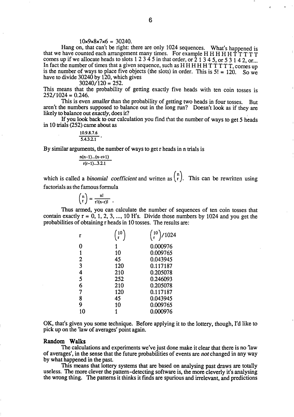#### $10\times9\times8\times7\times6 = 30240$ .

Hang on, that can't be right: there are only 1024 sequences. What's happened is that we have counted each arrangement many times. For example H H H H H T T T T T comes up if we allocate heads to slots  $12345$  in that order, or  $21345$ , or  $53142$ , or... In fact the number of times that a given sequence, such as  $H H H H H T T T T T$ , comes up is the number of ways to place five objects (the slots) in order. This is  $5! = 120$ . So we have to divide 30240 by 120, which gives

 $30240/120 = 252$ .

This means that the probability of getting exacdy five heads with ten coin tosses is  $252/1024 = 0.246$ .

This is even smaller than the probability of getting two heads in four tosses. But aren't the numbers supposed to balance out in the long run? Doesn't look as if they are likely to balance out *exacdy,* does it?

If you look back to our calculation you find that the number of ways to get  $5$  heads in 10 trials (252) came about as

$$
\frac{10.9.8.7.6}{5.4.3.2.1}
$$
.

By similar arguments, the number of ways to get  $r$  heads in  $n$  trials is

$$
\frac{n(n-1)...(n-r+1)}{r(r-1)...3.2.1}
$$

which is called a *binomial coefficient* and written as  $\binom{n}{r}$ . This can be rewritten using factorials as the famous formula

$$
\binom{n}{r} = \frac{n!}{r!(n-r)!} \enspace .
$$

Thus arrnd, you can calculate the number of sequences of ten coin tosses that contain exactly  $r = 0, 1, 2, 3, \dots, 10$  H's. Divide those numbers by 1024 and you get the probabilities of obtaining r heads in 10 tosses. The results are:

| r                       | 10 <sup>2</sup> | $\binom{10}{r}$ /1024 |
|-------------------------|-----------------|-----------------------|
| 0                       |                 | 0.000976              |
| 1                       | 10              | 0.009765              |
| $\mathbf{2}$            | 45              | 0.043945              |
| $\overline{\mathbf{3}}$ | 120             | 0.117187              |
| $\overline{\mathbf{4}}$ | 210             | 0.205078              |
| 5                       | 252             | 0.246093              |
| 6                       | 210             | 0.205078              |
| $\overline{7}$          | 120             | 0.117187              |
| 8                       | 45              | 0.043945              |
| 9                       | 10              | 0.009765              |
| 10                      |                 | 0.000976              |

OK, that's given you some technique. Before applying it to the lottery, though, I'd like to pick up on the 'law of averages' point again.

#### Random Walks

The calculations and experiments we've just done make it clear that there is no 'law of averages', in the sense that the future probabilities of events are *not* changed in any way by what happened in the past.

This means that lottery systems that are based on analysing past draws are totally useless. The more clever the pattern-detecting software is, the more cleverly it's andysing the wrong thing. The patterns it thinks it finds are spurious and irrelevant, and predictions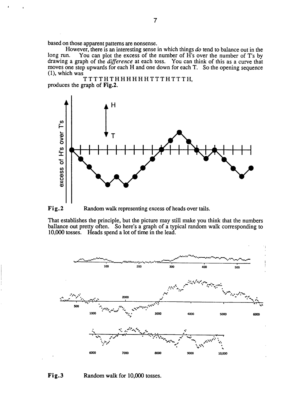based on those apparent patterns are nonsense.

However, there is an interesting sense in which things do tend to balance out in the long run. You can plot the excess of the number of H's over the number of T's by drawing a graph of the *difference* at each toss. You can think of this as a curve that moves one step upwards for each H and one down for each T. So the opening sequence  $(1)$ , which was

TTTTHTHHHHHHTTTHTTH, produces the graph of Fig.2.



Fig.2 Random walk representing excess of heads over tails.

That establishes the principle, but the picture may still make you think that the numbers ballance out pretty often. So here's a graph of a typical random walk corresponding to 10,000 tosses. Heads spend a lot of time in the lead.



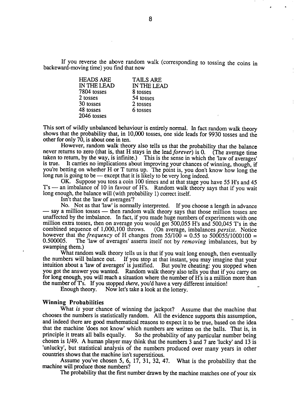If you reverse the above random wdk (corresponding to tossing the coins in backeward-moving time) you find that now

| <b>HEADS ARE</b> | <b>TAILS ARE</b>   |
|------------------|--------------------|
| IN THE LEAD      | <b>IN THE LEAD</b> |
| 7804 tosses      | 8 tosses           |
| 2 tosses         | 54 tosses          |
| 30 tosses        | 2 tosses           |
| 48 tosses        | 6 tosses           |
| 2046 tosses      |                    |

This sort of wildly unbalanced behaviour is entirely normal. In fact random walk theory shows that the probability that, in 10,000 tosses, one side leads for 9930 tosses and the other for only 70, is about one in ten.

However, random wak theory also tells us that the probability that the balance never returns to zero (that is, that H stays in the lead *forever*) is 0. (The average time taken to return, by the way, is infinite.) This is the sense in which the 'law of averages' is true. It carries no implications about improving your chances of winning, though, if you're betting on whether H or T turns up. The point is, you don't know how long the long run is going to be — except that it is likely to be very long indeed.

OK. Suppose you toss a coin 100 times and at that stage you have 55 H's and 45 T's — an imbalance of 10 in favour of H's. Random walk theory says that if you wait long enough, the balance will (with probability 1) correct itself.

Isn't that the 'lawof averages'?

No. Not as that 'law'is normally interpreted. If you choose a length in advance — say a million tosses — then random walk theory says that those million tosses are unaffected by the imbalance. In fact, if you made huge numbers of experiments with one million extra tosses, then on average you would get  $\overline{500,055}$  H's and  $\overline{500,045}$  T's in the combined sequence of 1,000,100 throws. (On average, imbalances *persist*. Notice combined sequence of 1,000,100 throws. (On average, imbalances *persist. Notice* however that the *frequency* of H changes from 55/100 = 0.55 to 500055/1000100 = 0.500005. The 'law of averages' asserts itself not by *removing* imbalances, but by The 'law of averages' asserts itself not by *removing* imbalances, but by swamping them.)

What random walk theory tells us is that if you wait long enough, then eventually the numbers will balance out. If you stop at that instant, you may imagine that your If you stop at that instant, you may imagine that your intuition about a 'law of averages' is justified. But you're cheating: you stopped when you got the answer you wanted. Random walk theory also tells you that if you carry on for long enough, you will reach a situation where the number of H's is a million more than the number of T's. If you stopped *there*, you'd have a very different intuition!

Enough theory. Now let's take a look at the lottery.

#### Winning Probabilities

What is your chance of winning the jackpot? Assume that the machine that chooses the numbers is statistically random. All the evidence supports this assumption, and indeed there are good mathematical reasons to expect it to be true, based on the idea that the machine 'does not know' which numbers are written on the balls. That is, in principle it treats all balls equally. So the probability of any particular number being So the probability of any particular number being. chosen is 1/49. A human player may think that the numbers 3 and 7 are 'lucky'and 13 is 'unlucky', but statistical analysis of the numbers produced over many years in other countries shows that the machine isn't superstitious.

Assume you've chosen 5, 6, 17, 31, 32, 47. What is the probability that the machine will produce those numbers?

The probability that the first number drawn by the machine matches one of your six

a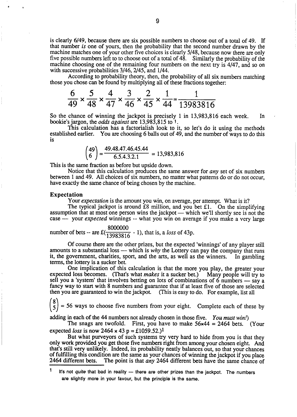is clearly 6/49, because there are six possible numbers to choose out of a total of 49. If that number *is* one of yours, then the probability that the second number drawn by the machine matches one of your other five choices is clearly 5/48, because now there are only five possible numbers left to to choose out of a total of 48. Similarly the probability of the machine choosing one of the remaining four numbers on the next try is 4/47, and so on with successive probabilities 3/46, 2/45, and 1/44.

According to probability theory, then, the probability of dl six numbers matching those you chose can be found by multiplying all of these fractions together:

$$
\frac{6}{49} \times \frac{5}{48} \times \frac{4}{47} \times \frac{3}{46} \times \frac{2}{45} \times \frac{1}{44} = \frac{1}{13983816}
$$

So the chance of winning the jackpot is precisely 1 in 13,983,816 each week. In bookie's jargon, the *odds against* are 13,983,815 to <sup>1</sup>.

This calculation has a factorialish look to it, so let's do it using the methods established earlier. You are choosing 6 balls out of 49, and the number of ways to do this is

$$
\binom{49}{6} = \frac{49.48.47.46.45.44}{6.5.4.3.2.1} = 13,983,816
$$

This is the same fraction as before but upside down.

Notice that this calculation produces the same answer for *any* set of six numbers between 1 and 49. All choices of six numbers, no matter what patterns do or do not occur, have exacdy the same chance of being chosen by the machine.

#### **Expectation**

Your *expectation* is the amount you win, on average, per attempt. What is it?

The typical jackpot is around  $E_8$  million, and you bet £1. On the simplifying assumption that at most one person wins the jackpot — which we'll shortly see is not the case — your *expected* winnings -- what you win on average if you make a very large

number of bets -- are 
$$
f(\frac{8000000}{13983816} - 1)
$$
, that is, a loss of 43p.

Of course there are the other prizes, but the expected 'winnings' of any player still amounts to a substantial loss — which is why the Lottery can pay the company that runs it, the government, charities, sport, and the arts, as well as the winners. In gambling terms, the lottery is a sucker bet.

One implication of this calculation is that the more you play, the greater your expected loss becomes. (That's what *makes* it a sucker bet.) Many people will try to sell you a 'system' that involves betting on lots of combinations of 6 numbers — say a fancy way to start with 8 numbers and guarantee that if at least five of those are selected then you are guaranteed to win the jackpot. (This is easy to do. For example, list all

 $\binom{8}{5}$  = 56 ways to choose five numbers from your eight. Complete each of these by

adding in each of the 44 numbers not already chosen in those five. You must win!)

*The* snags are twofold. First, you have to make 56x44 = 2464 bets. (Your expected loss is now 2464  $\times$  43 p = £1059.52.)<sup>1</sup>

But what purveyors of such systems try very hard to hide from you is that they only work provided you get those five numbers right from among your chosen eight. And that's still very unlikely. Indeed, its probability neatly balances out, so that your chances of fulfilling this condition are the same as your chances of winning the jackpot if you place 2464 different bets. The point is that *any* 2464 different bets have the same chance of

<sup>1</sup> It's not quite that bad in reality — there are other prizes than the jackpot. The numbers are slightly more in your favour, but the principle is the same.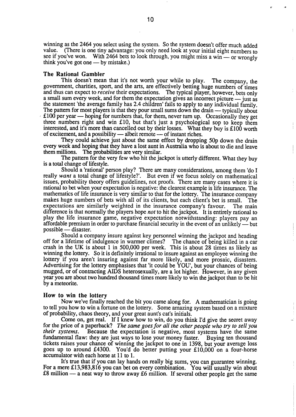winning as the 2464 you select using the system. So the system doesn't offer much added value. (There is one tiny advantage: you only need look at your initial eight numbers to (There is one tiny advantage: you only need look at your initial eight numbers to see if you've won. With 2464 bets to look through, you might miss a win — or wrongly think you've got one — by mistake.)

#### The Rational Gambler

This doesn't mean that it's not worth your while to play. The company, the government, charities, sport, and the arts, are effectively betting huge numbers of times and thus can expect to *receive* their expectations. The typical player, however, bets only a small sum every week, and for them the expectation gives an incorrect picture — just as the statement 'the average family has 2.4 children' fails to apply to any individual family. The pattern for most players is that they pour small sums down the drain — typically about  $£100$  per year — hoping for numbers that, for them, never turn up. Occasionally they get three numbers right and win  $£10$ , but that's just a psychological sop to keep them interested, and it's more than cancelled out by their losses. What they buy is  $£100$  worth of excitement, and a possibility — albeit remote — of instant riches.

They could achieve just about the same effect by dropping 50p down the drain every week and hoping that they have a lost aunt in Australia who is about to die and leave them millions. The probabilities are very similar.

The pattern for the very few who hit the jackpot is utterly different. What they buy is a total change of lifestyle.

Should a 'rational' person play? There are many considerations, among them 'do I redly *want* a total change of lifestyle?'. But even if we focus solely on mathematical issues, probability theory offers guidelines, not proofs. There are many cases where it is rational to bet when your expectation is negative: the clearest example is fife insurance. The mathematics of life insurance is very similar to that for the lottery. The insurance company makes huge numbers of bets with all of its clients, but each client's bet is small. The expectations are similarly weighted in the insurance company's favour. The main difference is that normally the players hope *not* to hit the jackpot. It is entirely rational to play the life insurance game, negative expectation notwithstanding: players pay an affordable premium in order to purchase finmcial security in the event of an unlikely — but possible — disaster.

Should a company insure against key personnel winning the jackpot and heading off for a lifetime of indulgence in warmer climes? The chance of being killed in a car crash in the UK is about 1 in 500,000 per week. This is about 28 times as likely as winning the lottery. So it is definitely irrational to insure against an employee winning the lottery if you aren't insuring against far more likely, and more prosaic, disasters. Advertising for the lottery emphasises that 'it could be YOU', but your chances of being mugged, or of contracting ADS heterosexudly, are a lot higher. However, in any given year you are about two hundred thousand times more likely to win the jackpot than to be hit by a meteorite.

#### How **to win the lottery**

**Now we've** finally reached the bit you came along for. A mathematician is going to tell you how to win a fortune on the lottery. Some amazing system based on a mixture of probability, chaos theory, and your great aunt's cat's initials.

—

Come on, get real. If I knew how to win, do you think I'd give the secret away for the price of a paperback? *The same goes for all the other people* **who try** *to sell you their systems.* Because the expectation is negative, most systems have the same fundamental flaw: they are just ways to lose your money faster. Buying ten thousand tickets raises your chance of winning the jackpot to one in 1398, but your average loss goes up to around  $£4300$ . You'd do better putting your  $£10,000$  on a four-horse accumdator with each horse at 11 to 1.

It's true that if you can lay hands on really big sums, you can guarantee winning. For a mere  $£13,983,816$  you can bet on every combination. You will usually win about  $£8$  million — a neat way to throw away £6 million. If several other people get the same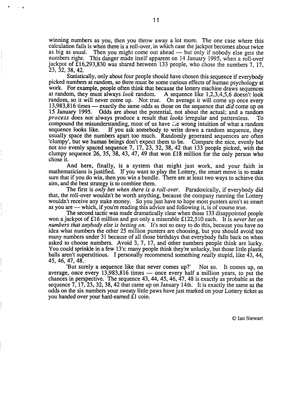winning numbers as you, then you throw away a lot more. The one case where this calculation fails is when there is a roll-over, in which case the jackpot becomes about twice as big as usual. Then you might come out ahead — but only if nobody else gets the numbers right. This danger made itself apparent on 14 January 1995, when a roll-over jackpot of f16,293,830 was shared between 133 people, who chose the numbers 7, 17, 23, 32,38,42.

Statistically, only about four people should have chosen this sequence if everybody picked numbers at random, so there must be some curious effects of human psychology at work. For example, people often think that because the lottery machine draws sequences at random, they must always *look* random. A sequence like 1,2,3,4,5,6 doesn't look random, so it will never come up. Not true. On average it will come up once every 13,983,816 times — exactly the same odds as those on the sequence that  $di\bar{d}$  come up on 15 January 1995. Odds are about the potential, not about the actual; and a random *process* does not always produce a result that *looks* irregular and patternless. To compound the misunderstanding, most of us have  $\therefore$  e wrong intuition of what a random sequence looks like. If you ask somebody to write down a random sequence, they usually space the numbers apart too much. Randomly generated sequences are often 'clumpy', but we human beings don't expect them to be. Compare the nice, evenly but not too evenly spaced sequence 7, 17, 23, 32, 38, 42 that 133 people picked, with the clumpy sequence 26, 35, 38, 43, 47, 49 that won £18 million for the only person who chose it.

And here, finally, is a system that might just work, and your faith in mathematicians is justified. If you want to play the Lottery, the smart move is to make sure that if you do win, then you win a bundle. There are at least two ways to achieve this aim, and the best strategy is to combine them.

The first is *only bet when there is a roll-over.* Paradoxically, if everybody did that, the roll-over wouldn't be worth anything, because the company running the Lottery wouldn't receive any stake money. So you just have to hope most punters men't as smart as you are — which, if you're reading this advice and following it, is of course true.

The second tactic was made dramatically clear when those 133 disappointed people won a jackpot of E16 million and got only a miserable fl 22,510 each. It is *never bet on numbers that anybody else is betting on.* It's not so easy to do this, because you have no idea what numbers the other 25 million punters are choosing, but you should avoid too many numbers under 31 because of all those birthdays that everybody falls back on when asked to choose numbers. Avoid 3, 7, 17, and other numbers people think are lucky. You could sprinkle in a few 13's: many people think they're unlucky, but those little plastic balls aren't superstitious. I personally recommend something *really* stupid, like 43,44, 45,46,47,48.

'But surely a sequence like that never comes up?' Not so. It comes up, on average, once every 13,983,816 times — once every half a million years, to put the chances in perspective. The sequence 43, 44, 45, 46, 47, 48 is exactly as probable as the sequence 7, 17, 23, 32, 38,42 that came up on January 14th. It is exactly the same as the odds on the six numbers your sweaty litde paws have just marked on your Lottery ticket as you handed over your hard-earned  $\hat{\mathbf{L}}$  coin.

0 Ian Stewart